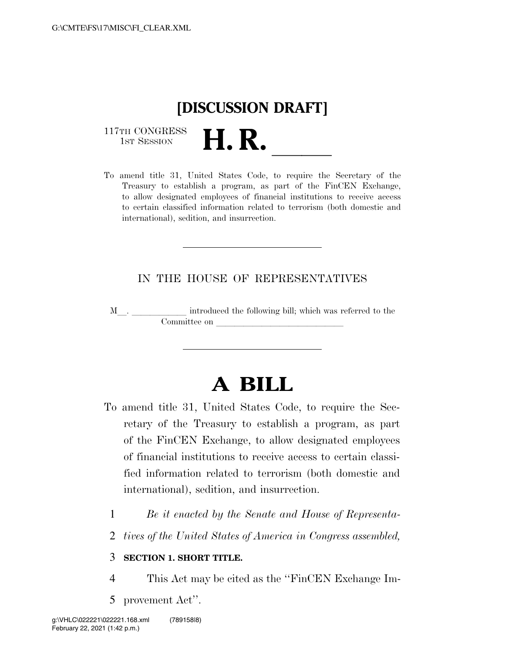

117TH CONGRESS<br>1st Session

117TH CONGRESS<br>1st SESSION<br>To amend title 31, United States Code, to require the Secretary of the Treasury to establish a program, as part of the FinCEN Exchange, to allow designated employees of financial institutions to receive access to certain classified information related to terrorism (both domestic and international), sedition, and insurrection.

## IN THE HOUSE OF REPRESENTATIVES

<sup>M</sup>l. llllll introduced the following bill; which was referred to the Committee on

## **A BILL**

- To amend title 31, United States Code, to require the Secretary of the Treasury to establish a program, as part of the FinCEN Exchange, to allow designated employees of financial institutions to receive access to certain classified information related to terrorism (both domestic and international), sedition, and insurrection.
	- 1 *Be it enacted by the Senate and House of Representa-*
	- 2 *tives of the United States of America in Congress assembled,*

## 3 **SECTION 1. SHORT TITLE.**

- 4 This Act may be cited as the ''FinCEN Exchange Im-
- 5 provement Act''.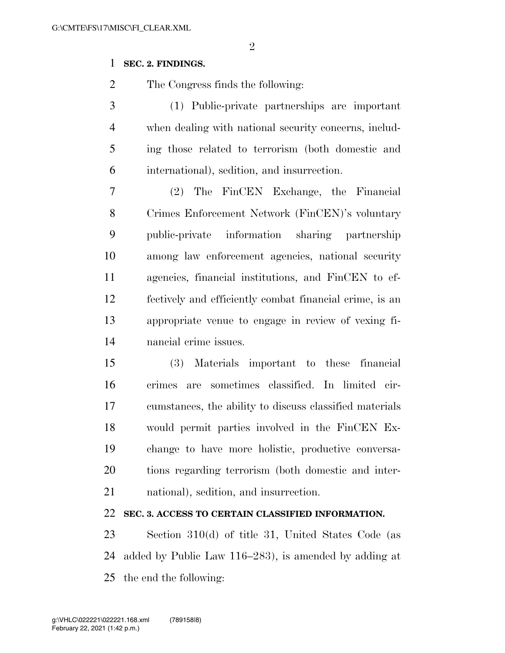## **SEC. 2. FINDINGS.**

The Congress finds the following:

 (1) Public-private partnerships are important when dealing with national security concerns, includ- ing those related to terrorism (both domestic and international), sedition, and insurrection.

 (2) The FinCEN Exchange, the Financial Crimes Enforcement Network (FinCEN)'s voluntary public-private information sharing partnership among law enforcement agencies, national security agencies, financial institutions, and FinCEN to ef- fectively and efficiently combat financial crime, is an appropriate venue to engage in review of vexing fi-nancial crime issues.

 (3) Materials important to these financial crimes are sometimes classified. In limited cir- cumstances, the ability to discuss classified materials would permit parties involved in the FinCEN Ex- change to have more holistic, productive conversa- tions regarding terrorism (both domestic and inter-national), sedition, and insurrection.

**SEC. 3. ACCESS TO CERTAIN CLASSIFIED INFORMATION.** 

 Section 310(d) of title 31, United States Code (as added by Public Law 116–283), is amended by adding at the end the following: